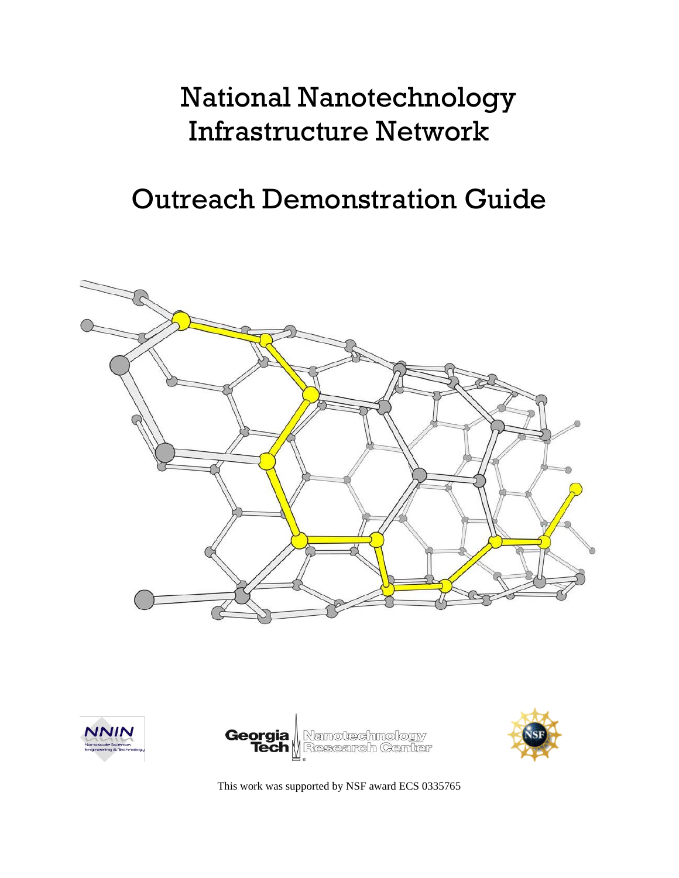# National Nanotechnology Infrastructure Network

## Outreach Demonstration Guide









This work was supported by NSF award ECS 0335765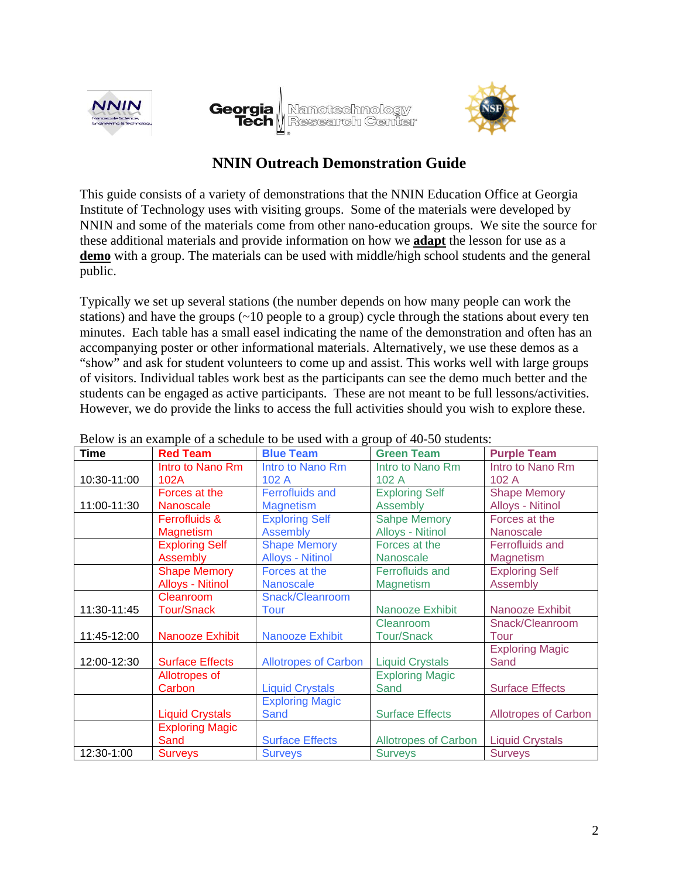





## **NNIN Outreach Demonstration Guide**

This guide consists of a variety of demonstrations that the NNIN Education Office at Georgia Institute of Technology uses with visiting groups. Some of the materials were developed by NNIN and some of the materials come from other nano-education groups. We site the source for these additional materials and provide information on how we **adapt** the lesson for use as a **demo** with a group. The materials can be used with middle/high school students and the general public.

Typically we set up several stations (the number depends on how many people can work the stations) and have the groups (~10 people to a group) cycle through the stations about every ten minutes. Each table has a small easel indicating the name of the demonstration and often has an accompanying poster or other informational materials. Alternatively, we use these demos as a "show" and ask for student volunteers to come up and assist. This works well with large groups of visitors. Individual tables work best as the participants can see the demo much better and the students can be engaged as active participants. These are not meant to be full lessons/activities. However, we do provide the links to access the full activities should you wish to explore these.

| <b>Time</b> | <b>Red Team</b>         | Delow is an example of a schedule to be used while a group of $\pm 0$ students.<br><b>Blue Team</b> | <b>Green Team</b>           | <b>Purple Team</b>          |
|-------------|-------------------------|-----------------------------------------------------------------------------------------------------|-----------------------------|-----------------------------|
|             | Intro to Nano Rm        | Intro to Nano Rm                                                                                    | Intro to Nano Rm            | Intro to Nano Rm            |
| 10:30-11:00 | 102A                    | 102A                                                                                                | 102A                        | 102A                        |
|             | Forces at the           | <b>Ferrofluids and</b>                                                                              | <b>Exploring Self</b>       | <b>Shape Memory</b>         |
| 11:00-11:30 | <b>Nanoscale</b>        | <b>Magnetism</b>                                                                                    | Assembly                    | Alloys - Nitinol            |
|             | Ferrofluids &           | <b>Exploring Self</b>                                                                               | <b>Sahpe Memory</b>         | Forces at the               |
|             | <b>Magnetism</b>        | <b>Assembly</b>                                                                                     | <b>Alloys - Nitinol</b>     | Nanoscale                   |
|             | <b>Exploring Self</b>   | <b>Shape Memory</b>                                                                                 | Forces at the               | <b>Ferrofluids and</b>      |
|             | Assembly                | <b>Alloys - Nitinol</b>                                                                             | <b>Nanoscale</b>            | <b>Magnetism</b>            |
|             | <b>Shape Memory</b>     | Forces at the                                                                                       | <b>Ferrofluids and</b>      | <b>Exploring Self</b>       |
|             | <b>Alloys - Nitinol</b> | <b>Nanoscale</b>                                                                                    | <b>Magnetism</b>            | Assembly                    |
|             | Cleanroom               | Snack/Cleanroom                                                                                     |                             |                             |
| 11:30-11:45 | <b>Tour/Snack</b>       | Tour                                                                                                | Nanooze Exhibit             | Nanooze Exhibit             |
|             |                         |                                                                                                     | Cleanroom                   | Snack/Cleanroom             |
| 11:45-12:00 | Nanooze Exhibit         | Nanooze Exhibit                                                                                     | <b>Tour/Snack</b>           | Tour                        |
|             |                         |                                                                                                     |                             | <b>Exploring Magic</b>      |
| 12:00-12:30 | <b>Surface Effects</b>  | <b>Allotropes of Carbon</b>                                                                         | <b>Liquid Crystals</b>      | Sand                        |
|             | Allotropes of           |                                                                                                     | <b>Exploring Magic</b>      |                             |
|             | Carbon                  | <b>Liquid Crystals</b>                                                                              | Sand                        | <b>Surface Effects</b>      |
|             |                         | <b>Exploring Magic</b>                                                                              |                             |                             |
|             | <b>Liquid Crystals</b>  | Sand                                                                                                | <b>Surface Effects</b>      | <b>Allotropes of Carbon</b> |
|             | <b>Exploring Magic</b>  |                                                                                                     |                             |                             |
|             | Sand                    | <b>Surface Effects</b>                                                                              | <b>Allotropes of Carbon</b> | <b>Liquid Crystals</b>      |
| 12:30-1:00  | <b>Surveys</b>          | <b>Surveys</b>                                                                                      | <b>Surveys</b>              | <b>Surveys</b>              |

Below is an example of a schedule to be used with a group of 40-50 students: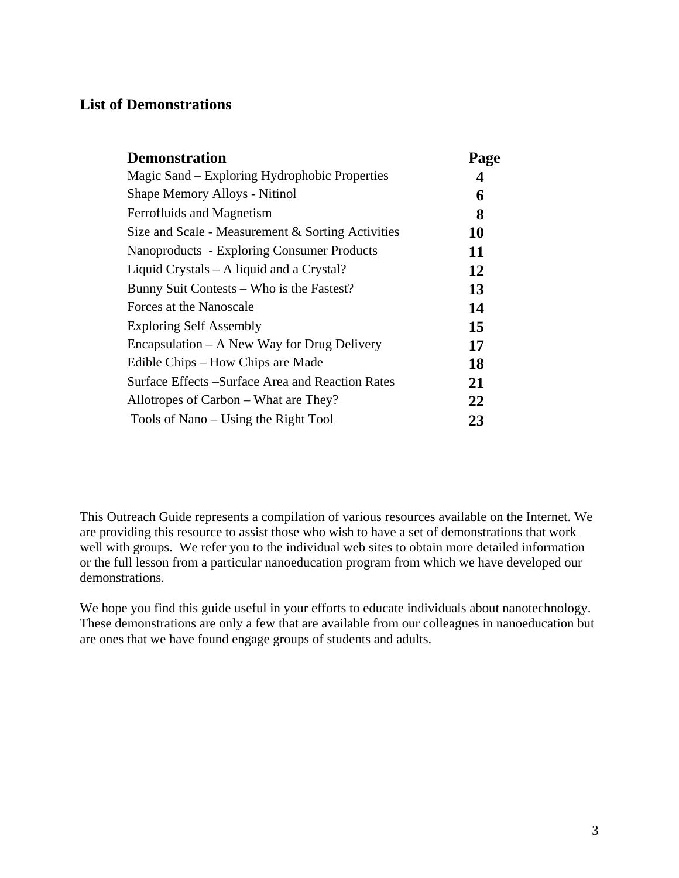## **List of Demonstrations**

| <b>Demonstration</b>                              | Page |
|---------------------------------------------------|------|
| Magic Sand – Exploring Hydrophobic Properties     | 4    |
| Shape Memory Alloys - Nitinol                     | 6    |
| Ferrofluids and Magnetism                         | 8    |
| Size and Scale - Measurement & Sorting Activities | 10   |
| Nanoproducts - Exploring Consumer Products        | 11   |
| Liquid Crystals – A liquid and a Crystal?         | 12   |
| Bunny Suit Contests – Who is the Fastest?         | 13   |
| Forces at the Nanoscale                           | 14   |
| <b>Exploring Self Assembly</b>                    | 15   |
| $Encapsulation - A New Way for Drug delivery$     | 17   |
| Edible Chips – How Chips are Made                 | 18   |
| Surface Effects – Surface Area and Reaction Rates | 21   |
| Allotropes of Carbon – What are They?             | 22   |
| Tools of Nano – Using the Right Tool              | 23   |

This Outreach Guide represents a compilation of various resources available on the Internet. We are providing this resource to assist those who wish to have a set of demonstrations that work well with groups. We refer you to the individual web sites to obtain more detailed information or the full lesson from a particular nanoeducation program from which we have developed our demonstrations.

We hope you find this guide useful in your efforts to educate individuals about nanotechnology. These demonstrations are only a few that are available from our colleagues in nanoeducation but are ones that we have found engage groups of students and adults.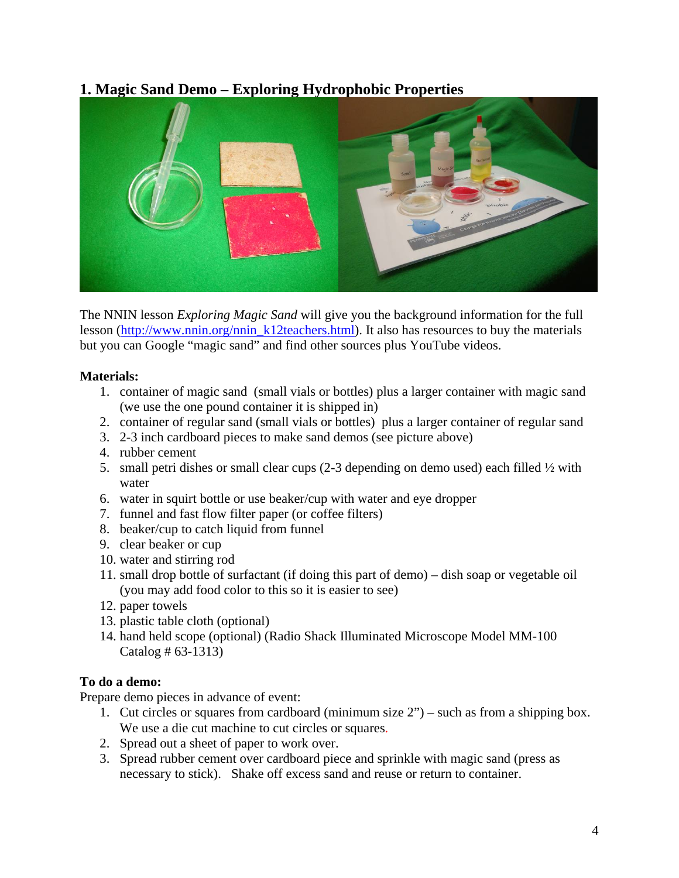## **1. Magic Sand Demo – Exploring Hydrophobic Properties**



The NNIN lesson *Exploring Magic Sand* will give you the background information for the full lesson [\(http://www.nnin.org/nnin\\_k12teachers.html\)](http://www.nnin.org/nnin_k12teachers.html). It also has resources to buy the materials but you can Google "magic sand" and find other sources plus YouTube videos.

#### **Materials:**

- 1. container of magic sand (small vials or bottles) plus a larger container with magic sand (we use the one pound container it is shipped in)
- 2. container of regular sand (small vials or bottles) plus a larger container of regular sand
- 3. 2-3 inch cardboard pieces to make sand demos (see picture above)
- 4. rubber cement
- 5. small petri dishes or small clear cups  $(2-3)$  depending on demo used) each filled  $\frac{1}{2}$  with water
- 6. water in squirt bottle or use beaker/cup with water and eye dropper
- 7. funnel and fast flow filter paper (or coffee filters)
- 8. beaker/cup to catch liquid from funnel
- 9. clear beaker or cup
- 10. water and stirring rod
- 11. small drop bottle of surfactant (if doing this part of demo) dish soap or vegetable oil (you may add food color to this so it is easier to see)
- 12. paper towels
- 13. plastic table cloth (optional)
- 14. hand held scope (optional) (Radio Shack Illuminated Microscope Model MM-100 Catalog # 63-1313)

#### **To do a demo:**

Prepare demo pieces in advance of event:

- 1. Cut circles or squares from cardboard (minimum size 2") such as from a shipping box. We use a die cut machine to cut circles or squares.
- 2. Spread out a sheet of paper to work over.
- 3. Spread rubber cement over cardboard piece and sprinkle with magic sand (press as necessary to stick). Shake off excess sand and reuse or return to container.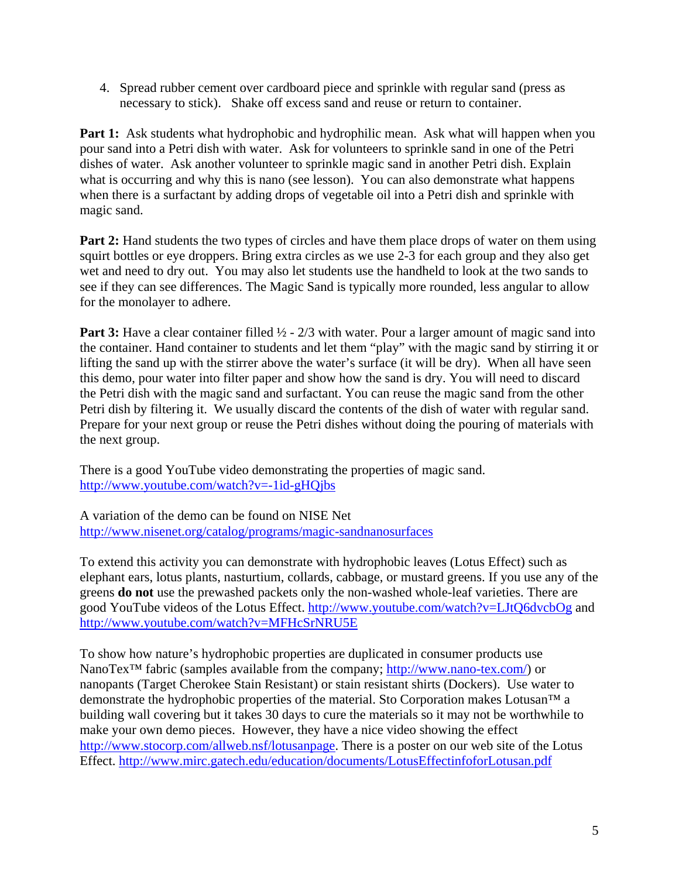4. Spread rubber cement over cardboard piece and sprinkle with regular sand (press as necessary to stick). Shake off excess sand and reuse or return to container.

**Part 1:** Ask students what hydrophobic and hydrophilic mean. Ask what will happen when you pour sand into a Petri dish with water. Ask for volunteers to sprinkle sand in one of the Petri dishes of water. Ask another volunteer to sprinkle magic sand in another Petri dish. Explain what is occurring and why this is nano (see lesson). You can also demonstrate what happens when there is a surfactant by adding drops of vegetable oil into a Petri dish and sprinkle with magic sand.

**Part 2:** Hand students the two types of circles and have them place drops of water on them using squirt bottles or eye droppers. Bring extra circles as we use 2-3 for each group and they also get wet and need to dry out. You may also let students use the handheld to look at the two sands to see if they can see differences. The Magic Sand is typically more rounded, less angular to allow for the monolayer to adhere.

**Part 3:** Have a clear container filled  $\frac{1}{2}$  - 2/3 with water. Pour a larger amount of magic sand into the container. Hand container to students and let them "play" with the magic sand by stirring it or lifting the sand up with the stirrer above the water's surface (it will be dry). When all have seen this demo, pour water into filter paper and show how the sand is dry. You will need to discard the Petri dish with the magic sand and surfactant. You can reuse the magic sand from the other Petri dish by filtering it. We usually discard the contents of the dish of water with regular sand. Prepare for your next group or reuse the Petri dishes without doing the pouring of materials with the next group.

There is a good YouTube video demonstrating the properties of magic sand. <http://www.youtube.com/watch?v=-1id-gHQjbs>

A variation of the demo can be found on NISE Net <http://www.nisenet.org/catalog/programs/magic-sandnanosurfaces>

To extend this activity you can demonstrate with hydrophobic leaves (Lotus Effect) such as elephant ears, lotus plants, nasturtium, collards, cabbage, or mustard greens. If you use any of the greens **do not** use the prewashed packets only the non-washed whole-leaf varieties. There are good YouTube videos of the Lotus Effect.<http://www.youtube.com/watch?v=LJtQ6dvcbOg> and <http://www.youtube.com/watch?v=MFHcSrNRU5E>

To show how nature's hydrophobic properties are duplicated in consumer products use NanoTex<sup>™</sup> fabric (samples available from the company; <http://www.nano-tex.com/>) or nanopants (Target Cherokee Stain Resistant) or stain resistant shirts (Dockers). Use water to demonstrate the hydrophobic properties of the material. Sto Corporation makes Lotusan™ a building wall covering but it takes 30 days to cure the materials so it may not be worthwhile to make your own demo pieces. However, they have a nice video showing the effect <http://www.stocorp.com/allweb.nsf/lotusanpage>. There is a poster on our web site of the Lotus Effect.<http://www.mirc.gatech.edu/education/documents/LotusEffectinfoforLotusan.pdf>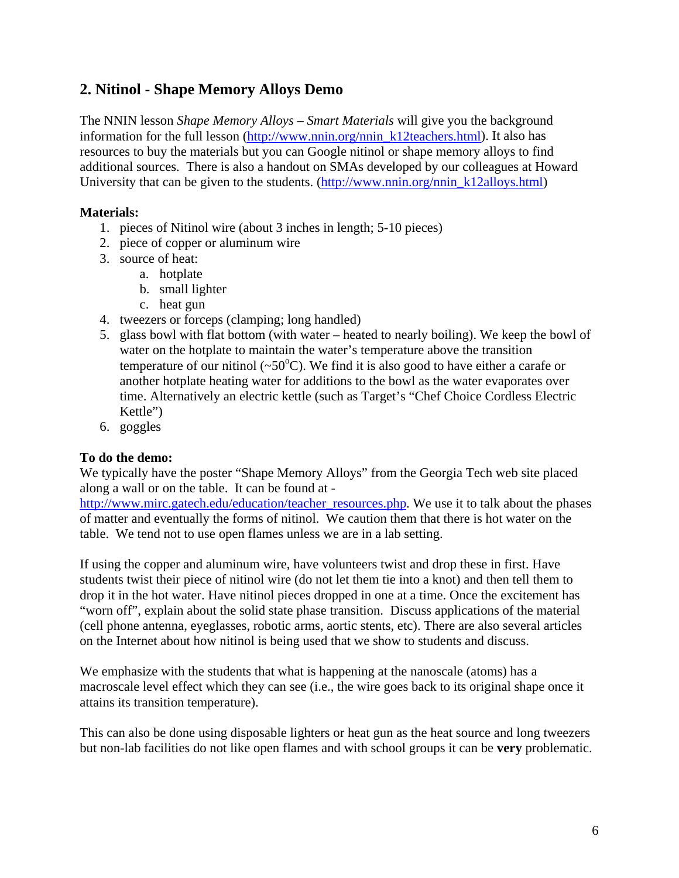## **2. Nitinol - Shape Memory Alloys Demo**

The NNIN lesson *Shape Memory Alloys – Smart Materials* will give you the background information for the full lesson [\(http://www.nnin.org/nnin\\_k12teachers.html\)](http://www.nnin.org/nnin_k12teachers.html). It also has resources to buy the materials but you can Google nitinol or shape memory alloys to find additional sources. There is also a handout on SMAs developed by our colleagues at Howard University that can be given to the students. ([http://www.nnin.org/nnin\\_k12alloys.html\)](http://www.nnin.org/nnin_k12alloys.html)

#### **Materials:**

- 1. pieces of Nitinol wire (about 3 inches in length; 5-10 pieces)
- 2. piece of copper or aluminum wire
- 3. source of heat:
	- a. hotplate
	- b. small lighter
	- c. heat gun
- 4. tweezers or forceps (clamping; long handled)
- 5. glass bowl with flat bottom (with water heated to nearly boiling). We keep the bowl of water on the hotplate to maintain the water's temperature above the transition temperature of our nitinol ( $\sim 50^{\circ}$ C). We find it is also good to have either a carafe or another hotplate heating water for additions to the bowl as the water evaporates over time. Alternatively an electric kettle (such as Target's "Chef Choice Cordless Electric Kettle")
- 6. goggles

#### **To do the demo:**

We typically have the poster "Shape Memory Alloys" from the Georgia Tech web site placed along a wall or on the table. It can be found at -

[http://www.mirc.gatech.edu/education/teacher\\_resources.php.](http://www.mirc.gatech.edu/education/teacher_resources.php) We use it to talk about the phases of matter and eventually the forms of nitinol. We caution them that there is hot water on the table. We tend not to use open flames unless we are in a lab setting.

If using the copper and aluminum wire, have volunteers twist and drop these in first. Have students twist their piece of nitinol wire (do not let them tie into a knot) and then tell them to drop it in the hot water. Have nitinol pieces dropped in one at a time. Once the excitement has "worn off", explain about the solid state phase transition. Discuss applications of the material (cell phone antenna, eyeglasses, robotic arms, aortic stents, etc). There are also several articles on the Internet about how nitinol is being used that we show to students and discuss.

We emphasize with the students that what is happening at the nanoscale (atoms) has a macroscale level effect which they can see (i.e., the wire goes back to its original shape once it attains its transition temperature).

This can also be done using disposable lighters or heat gun as the heat source and long tweezers but non-lab facilities do not like open flames and with school groups it can be **very** problematic.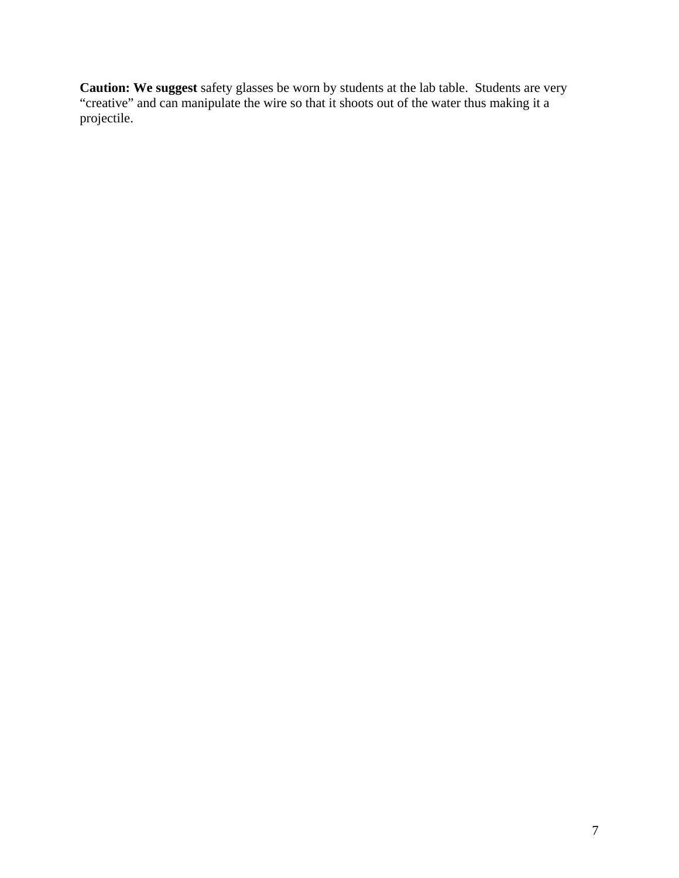**Caution: We suggest** safety glasses be worn by students at the lab table. Students are very "creative" and can manipulate the wire so that it shoots out of the water thus making it a projectile.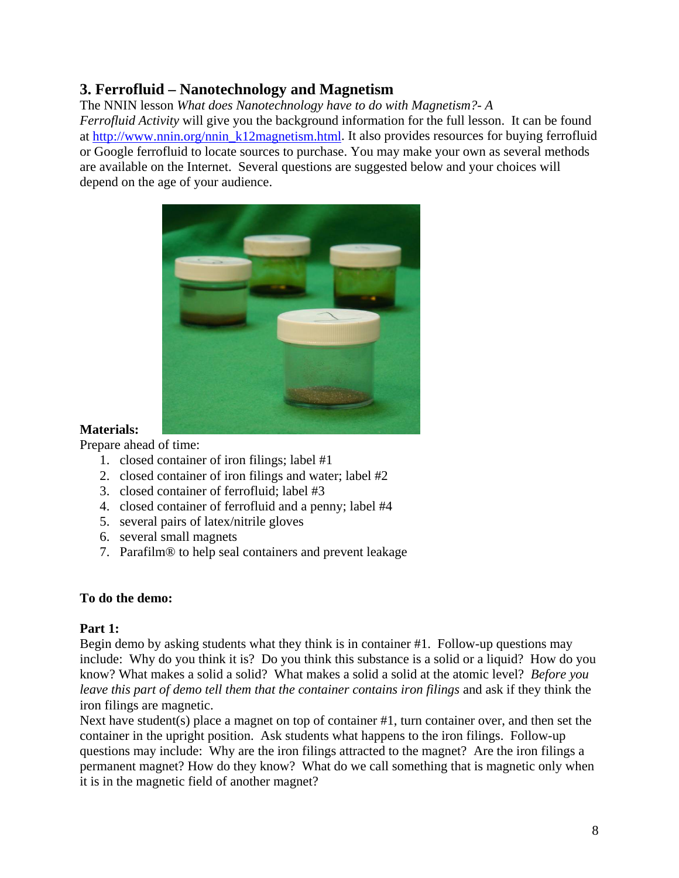## **3. Ferrofluid – Nanotechnology and Magnetism**

The NNIN lesson *What does Nanotechnology have to do with Magnetism?- A Ferrofluid Activity* will give you the background information for the full lesson. It can be found at [http://www.nnin.org/nnin\\_k12magnetism.html.](http://www.nnin.org/nnin_k12magnetism.html) It also provides resources for buying ferrofluid or Google ferrofluid to locate sources to purchase. You may make your own as several methods are available on the Internet. Several questions are suggested below and your choices will depend on the age of your audience.



#### **Materials:**

Prepare ahead of time:

- 1. closed container of iron filings; label #1
- 2. closed container of iron filings and water; label #2
- 3. closed container of ferrofluid; label #3
- 4. closed container of ferrofluid and a penny; label #4
- 5. several pairs of latex/nitrile gloves
- 6. several small magnets
- 7. Parafilm® to help seal containers and prevent leakage

#### **To do the demo:**

#### **Part 1:**

Begin demo by asking students what they think is in container #1. Follow-up questions may include: Why do you think it is? Do you think this substance is a solid or a liquid? How do you know? What makes a solid a solid? What makes a solid a solid at the atomic level? *Before you leave this part of demo tell them that the container contains iron filings* and ask if they think the iron filings are magnetic.

Next have student(s) place a magnet on top of container #1, turn container over, and then set the container in the upright position. Ask students what happens to the iron filings. Follow-up questions may include: Why are the iron filings attracted to the magnet? Are the iron filings a permanent magnet? How do they know? What do we call something that is magnetic only when it is in the magnetic field of another magnet?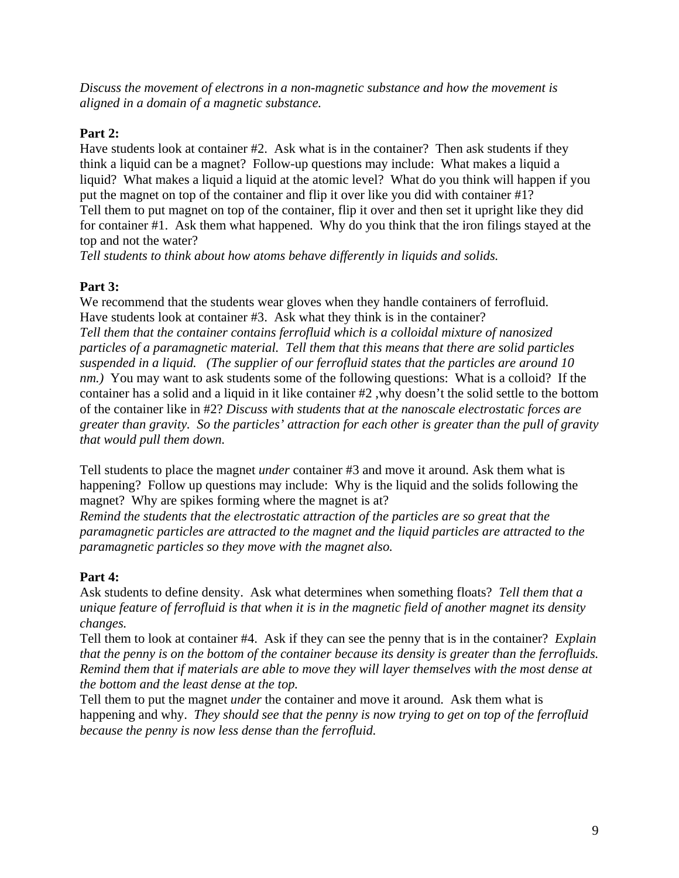*Discuss the movement of electrons in a non-magnetic substance and how the movement is aligned in a domain of a magnetic substance.* 

#### **Part 2:**

Have students look at container #2. Ask what is in the container? Then ask students if they think a liquid can be a magnet? Follow-up questions may include: What makes a liquid a liquid? What makes a liquid a liquid at the atomic level? What do you think will happen if you put the magnet on top of the container and flip it over like you did with container #1? Tell them to put magnet on top of the container, flip it over and then set it upright like they did for container #1. Ask them what happened. Why do you think that the iron filings stayed at the top and not the water?

*Tell students to think about how atoms behave differently in liquids and solids.* 

#### **Part 3:**

We recommend that the students wear gloves when they handle containers of ferrofluid. Have students look at container #3. Ask what they think is in the container? *Tell them that the container contains ferrofluid which is a colloidal mixture of nanosized particles of a paramagnetic material. Tell them that this means that there are solid particles suspended in a liquid. (The supplier of our ferrofluid states that the particles are around 10 nm.)* You may want to ask students some of the following questions: What is a colloid? If the container has a solid and a liquid in it like container #2 ,why doesn't the solid settle to the bottom of the container like in #2? *Discuss with students that at the nanoscale electrostatic forces are greater than gravity. So the particles' attraction for each other is greater than the pull of gravity that would pull them down.* 

Tell students to place the magnet *under* container #3 and move it around. Ask them what is happening? Follow up questions may include: Why is the liquid and the solids following the magnet? Why are spikes forming where the magnet is at?

*Remind the students that the electrostatic attraction of the particles are so great that the paramagnetic particles are attracted to the magnet and the liquid particles are attracted to the paramagnetic particles so they move with the magnet also.* 

#### **Part 4:**

Ask students to define density. Ask what determines when something floats? *Tell them that a unique feature of ferrofluid is that when it is in the magnetic field of another magnet its density changes.* 

Tell them to look at container #4. Ask if they can see the penny that is in the container? *Explain that the penny is on the bottom of the container because its density is greater than the ferrofluids. Remind them that if materials are able to move they will layer themselves with the most dense at the bottom and the least dense at the top.* 

Tell them to put the magnet *under* the container and move it around. Ask them what is happening and why. *They should see that the penny is now trying to get on top of the ferrofluid because the penny is now less dense than the ferrofluid.*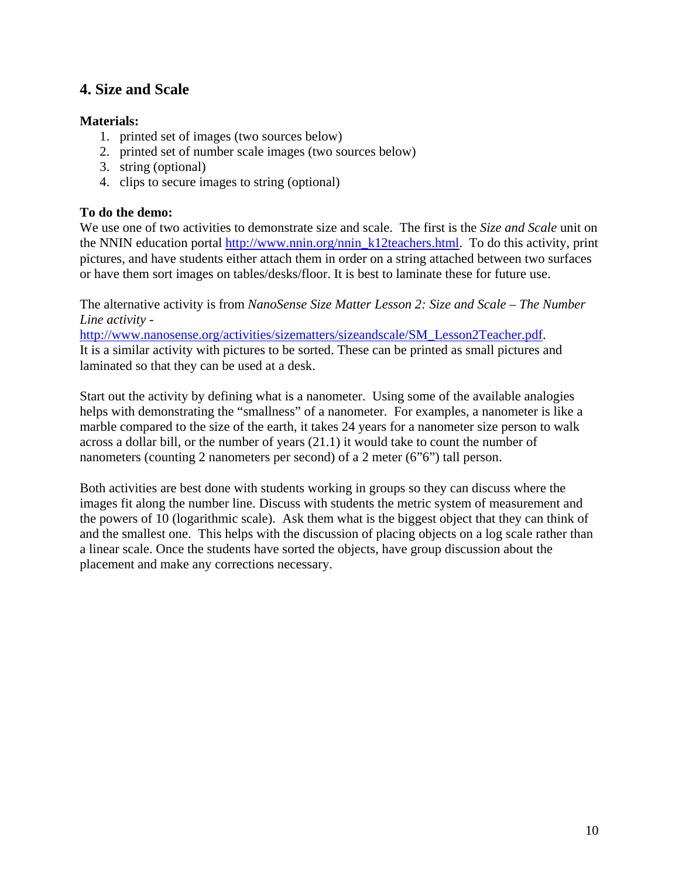## **4. Size and Scale**

#### **Materials:**

- 1. printed set of images (two sources below)
- 2. printed set of number scale images (two sources below)
- 3. string (optional)
- 4. clips to secure images to string (optional)

#### **To do the demo:**

We use one of two activities to demonstrate size and scale. The first is the *Size and Scale* unit on the NNIN education portal [http://www.nnin.org/nnin\\_k12teachers.html](http://www.nnin.org/nnin_k12teachers.html). To do this activity, print pictures, and have students either attach them in order on a string attached between two surfaces or have them sort images on tables/desks/floor. It is best to laminate these for future use.

The alternative activity is from *NanoSense Size Matter Lesson 2: Size and Scale – The Number Line activity -*

[http://www.nanosense.org/activities/sizematters/sizeandscale/SM\\_Lesson2Teacher.pdf.](http://www.nanosense.org/activities/sizematters/sizeandscale/SM_Lesson2Teacher.pdf) It is a similar activity with pictures to be sorted. These can be printed as small pictures and laminated so that they can be used at a desk.

Start out the activity by defining what is a nanometer. Using some of the available analogies helps with demonstrating the "smallness" of a nanometer. For examples, a nanometer is like a marble compared to the size of the earth, it takes 24 years for a nanometer size person to walk across a dollar bill, or the number of years (21.1) it would take to count the number of nanometers (counting 2 nanometers per second) of a 2 meter (6"6") tall person.

Both activities are best done with students working in groups so they can discuss where the images fit along the number line. Discuss with students the metric system of measurement and the powers of 10 (logarithmic scale). Ask them what is the biggest object that they can think of and the smallest one. This helps with the discussion of placing objects on a log scale rather than a linear scale. Once the students have sorted the objects, have group discussion about the placement and make any corrections necessary.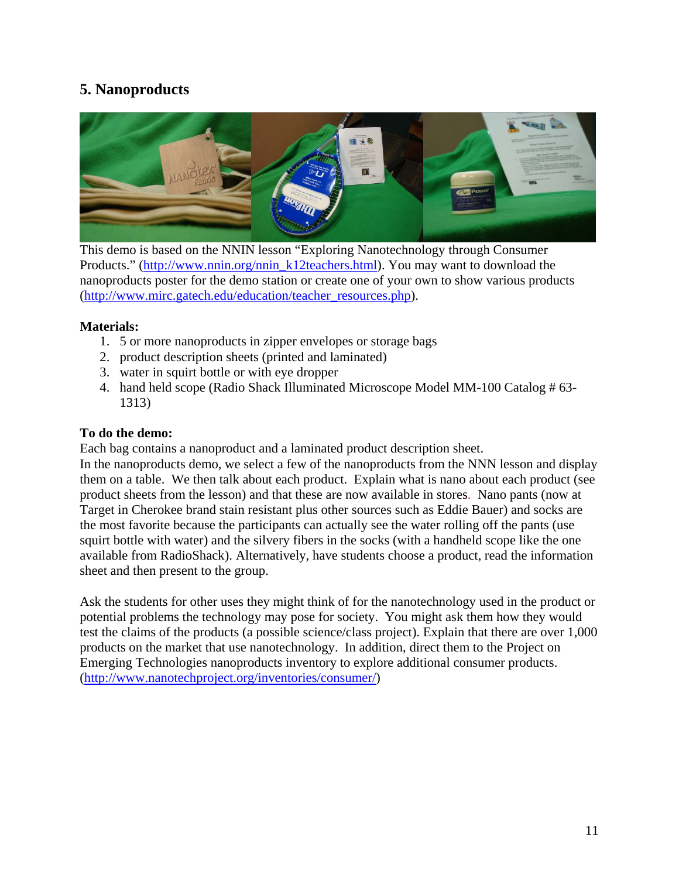## **5. Nanoproducts**



This demo is based on the NNIN lesson "Exploring Nanotechnology through Consumer Products." [\(http://www.nnin.org/nnin\\_k12teachers.html](http://www.nnin.org/nnin_k12teachers.html)). You may want to download the nanoproducts poster for the demo station or create one of your own to show various products ([http://www.mirc.gatech.edu/education/teacher\\_resources.php\)](http://www.mirc.gatech.edu/education/teacher_resources.php).

#### **Materials:**

- 1. 5 or more nanoproducts in zipper envelopes or storage bags
- 2. product description sheets (printed and laminated)
- 3. water in squirt bottle or with eye dropper
- 4. hand held scope (Radio Shack Illuminated Microscope Model MM-100 Catalog # 63- 1313)

#### **To do the demo:**

Each bag contains a nanoproduct and a laminated product description sheet.

In the nanoproducts demo, we select a few of the nanoproducts from the NNN lesson and display them on a table. We then talk about each product. Explain what is nano about each product (see product sheets from the lesson) and that these are now available in stores. Nano pants (now at Target in Cherokee brand stain resistant plus other sources such as Eddie Bauer) and socks are the most favorite because the participants can actually see the water rolling off the pants (use squirt bottle with water) and the silvery fibers in the socks (with a handheld scope like the one available from RadioShack). Alternatively, have students choose a product, read the information sheet and then present to the group.

Ask the students for other uses they might think of for the nanotechnology used in the product or potential problems the technology may pose for society. You might ask them how they would test the claims of the products (a possible science/class project). Explain that there are over 1,000 products on the market that use nanotechnology. In addition, direct them to the Project on Emerging Technologies nanoproducts inventory to explore additional consumer products. (<http://www.nanotechproject.org/inventories/consumer/>)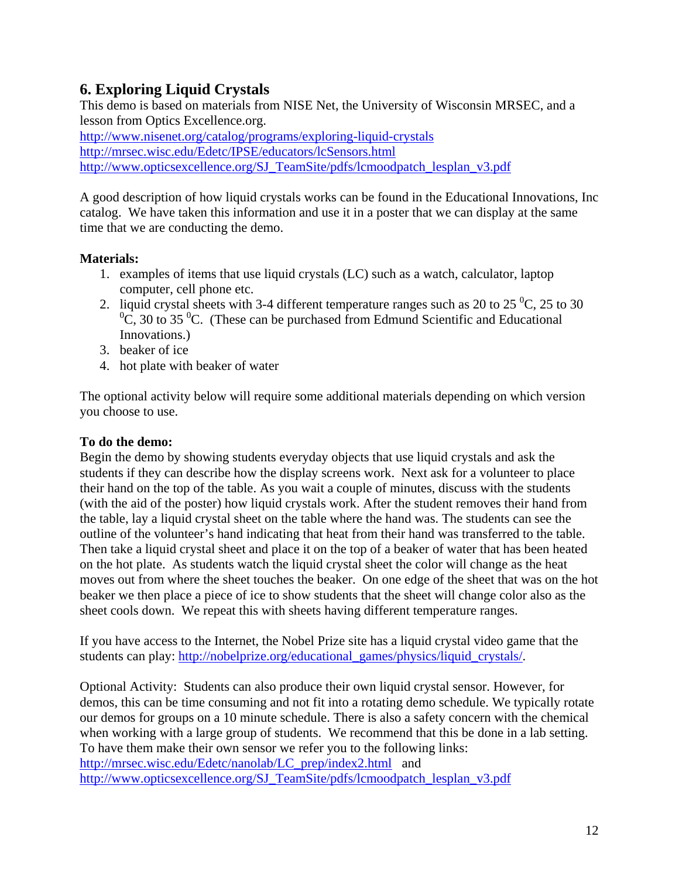## **6. Exploring Liquid Crystals**

This demo is based on materials from NISE Net, the University of Wisconsin MRSEC, and a lesson from Optics Excellence.org.

<http://www.nisenet.org/catalog/programs/exploring-liquid-crystals> <http://mrsec.wisc.edu/Edetc/IPSE/educators/lcSensors.html> [http://www.opticsexcellence.org/SJ\\_TeamSite/pdfs/lcmoodpatch\\_lesplan\\_v3.pdf](http://www.opticsexcellence.org/SJ_TeamSite/pdfs/lcmoodpatch_lesplan_v3.pdf)

A good description of how liquid crystals works can be found in the Educational Innovations, Inc catalog. We have taken this information and use it in a poster that we can display at the same time that we are conducting the demo.

#### **Materials:**

- 1. examples of items that use liquid crystals (LC) such as a watch, calculator, laptop computer, cell phone etc.
- 2. liquid crystal sheets with 3-4 different temperature ranges such as 20 to 25 $\degree$ C, 25 to 30  ${}^{0}C$ , 30 to 35  ${}^{0}C$ . (These can be purchased from Edmund Scientific and Educational Innovations.)
- 3. beaker of ice
- 4. hot plate with beaker of water

The optional activity below will require some additional materials depending on which version you choose to use.

#### **To do the demo:**

Begin the demo by showing students everyday objects that use liquid crystals and ask the students if they can describe how the display screens work. Next ask for a volunteer to place their hand on the top of the table. As you wait a couple of minutes, discuss with the students (with the aid of the poster) how liquid crystals work. After the student removes their hand from the table, lay a liquid crystal sheet on the table where the hand was. The students can see the outline of the volunteer's hand indicating that heat from their hand was transferred to the table. Then take a liquid crystal sheet and place it on the top of a beaker of water that has been heated on the hot plate. As students watch the liquid crystal sheet the color will change as the heat moves out from where the sheet touches the beaker. On one edge of the sheet that was on the hot beaker we then place a piece of ice to show students that the sheet will change color also as the sheet cools down. We repeat this with sheets having different temperature ranges.

If you have access to the Internet, the Nobel Prize site has a liquid crystal video game that the students can play: [http://nobelprize.org/educational\\_games/physics/liquid\\_crystals/](http://nobelprize.org/educational_games/physics/liquid_crystals/).

Optional Activity: Students can also produce their own liquid crystal sensor. However, for demos, this can be time consuming and not fit into a rotating demo schedule. We typically rotate our demos for groups on a 10 minute schedule. There is also a safety concern with the chemical when working with a large group of students. We recommend that this be done in a lab setting. To have them make their own sensor we refer you to the following links: [http://mrsec.wisc.edu/Edetc/nanolab/LC\\_prep/index2.html](http://mrsec.wisc.edu/Edetc/nanolab/LC_prep/index2.html) and [http://www.opticsexcellence.org/SJ\\_TeamSite/pdfs/lcmoodpatch\\_lesplan\\_v3.pdf](http://www.opticsexcellence.org/SJ_TeamSite/pdfs/lcmoodpatch_lesplan_v3.pdf)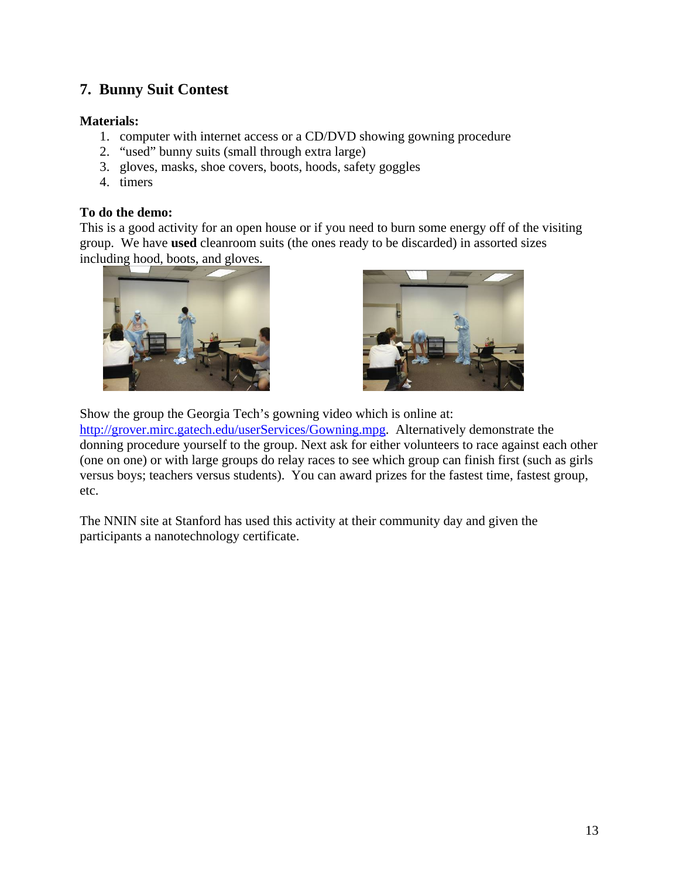## **7. Bunny Suit Contest**

#### **Materials:**

- 1. computer with internet access or a CD/DVD showing gowning procedure
- 2. "used" bunny suits (small through extra large)
- 3. gloves, masks, shoe covers, boots, hoods, safety goggles
- 4. timers

#### **To do the demo:**

This is a good activity for an open house or if you need to burn some energy off of the visiting group. We have **used** cleanroom suits (the ones ready to be discarded) in assorted sizes including hood, boots, and gloves.





Show the group the Georgia Tech's gowning video which is online at:

[http://grover.mirc.gatech.edu/userServices/Gowning.mpg.](http://grover.mirc.gatech.edu/userServices/Gowning.mpg) Alternatively demonstrate the donning procedure yourself to the group. Next ask for either volunteers to race against each other (one on one) or with large groups do relay races to see which group can finish first (such as girls versus boys; teachers versus students). You can award prizes for the fastest time, fastest group, etc.

The NNIN site at Stanford has used this activity at their community day and given the participants a nanotechnology certificate.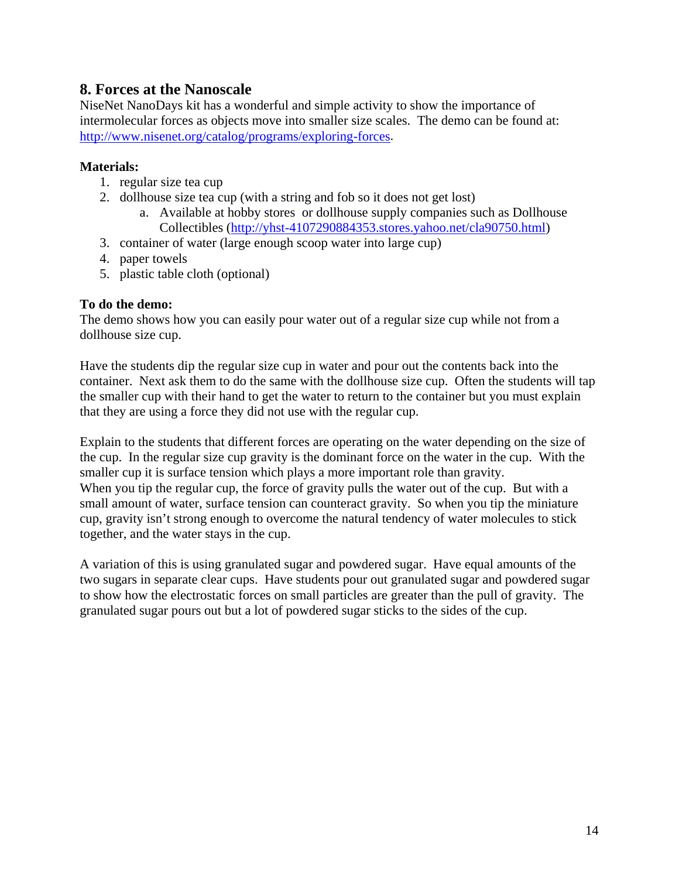## **8. Forces at the Nanoscale**

NiseNet NanoDays kit has a wonderful and simple activity to show the importance of intermolecular forces as objects move into smaller size scales. The demo can be found at: [http://www.nisenet.org/catalog/programs/exploring-forces.](http://www.nisenet.org/catalog/programs/exploring-forces)

#### **Materials:**

- 1. regular size tea cup
- 2. dollhouse size tea cup (with a string and fob so it does not get lost)
	- a. Available at hobby stores or dollhouse supply companies such as Dollhouse Collectibles [\(http://yhst-4107290884353.stores.yahoo.net/cla90750.html](http://yhst-4107290884353.stores.yahoo.net/cla90750.html))
- 3. container of water (large enough scoop water into large cup)
- 4. paper towels
- 5. plastic table cloth (optional)

#### **To do the demo:**

The demo shows how you can easily pour water out of a regular size cup while not from a dollhouse size cup.

Have the students dip the regular size cup in water and pour out the contents back into the container. Next ask them to do the same with the dollhouse size cup. Often the students will tap the smaller cup with their hand to get the water to return to the container but you must explain that they are using a force they did not use with the regular cup.

Explain to the students that different forces are operating on the water depending on the size of the cup. In the regular size cup gravity is the dominant force on the water in the cup. With the smaller cup it is surface tension which plays a more important role than gravity. When you tip the regular cup, the force of gravity pulls the water out of the cup. But with a small amount of water, surface tension can counteract gravity. So when you tip the miniature cup, gravity isn't strong enough to overcome the natural tendency of water molecules to stick together, and the water stays in the cup.

A variation of this is using granulated sugar and powdered sugar. Have equal amounts of the two sugars in separate clear cups. Have students pour out granulated sugar and powdered sugar to show how the electrostatic forces on small particles are greater than the pull of gravity. The granulated sugar pours out but a lot of powdered sugar sticks to the sides of the cup.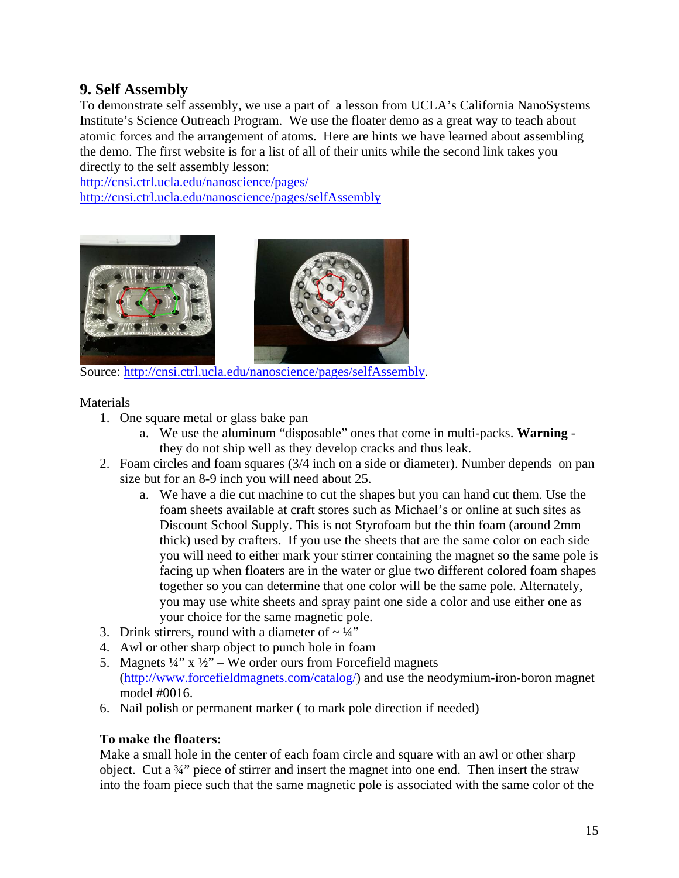## **9. Self Assembly**

To demonstrate self assembly, we use a part of a lesson from UCLA's California NanoSystems Institute's Science Outreach Program. We use the floater demo as a great way to teach about atomic forces and the arrangement of atoms. Here are hints we have learned about assembling the demo. The first website is for a list of all of their units while the second link takes you directly to the self assembly lesson:

<http://cnsi.ctrl.ucla.edu/nanoscience/pages/> <http://cnsi.ctrl.ucla.edu/nanoscience/pages/selfAssembly>





Source: <http://cnsi.ctrl.ucla.edu/nanoscience/pages/selfAssembly>.

Materials

- 1. One square metal or glass bake pan
	- a. We use the aluminum "disposable" ones that come in multi-packs. **Warning** they do not ship well as they develop cracks and thus leak.
- 2. Foam circles and foam squares (3/4 inch on a side or diameter). Number depends on pan size but for an 8-9 inch you will need about 25.
	- a. We have a die cut machine to cut the shapes but you can hand cut them. Use the foam sheets available at craft stores such as Michael's or online at such sites as Discount School Supply. This is not Styrofoam but the thin foam (around 2mm thick) used by crafters. If you use the sheets that are the same color on each side you will need to either mark your stirrer containing the magnet so the same pole is facing up when floaters are in the water or glue two different colored foam shapes together so you can determine that one color will be the same pole. Alternately, you may use white sheets and spray paint one side a color and use either one as your choice for the same magnetic pole.
- 3. Drink stirrers, round with a diameter of  $\sim \frac{1}{4}$ "
- 4. Awl or other sharp object to punch hole in foam
- 5. Magnets  $\frac{1}{4}$ " x  $\frac{1}{2}$ " We order ours from Forcefield magnets (<http://www.forcefieldmagnets.com/catalog/>) and use the neodymium-iron-boron magnet model #0016.
- 6. Nail polish or permanent marker ( to mark pole direction if needed)

#### **To make the floaters:**

Make a small hole in the center of each foam circle and square with an awl or other sharp object. Cut a ¾" piece of stirrer and insert the magnet into one end. Then insert the straw into the foam piece such that the same magnetic pole is associated with the same color of the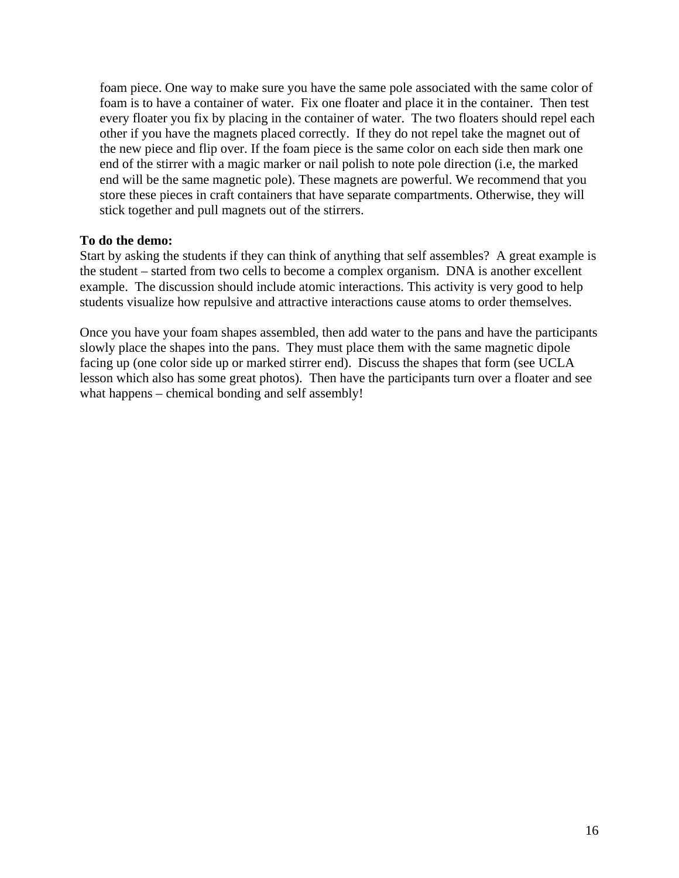foam piece. One way to make sure you have the same pole associated with the same color of foam is to have a container of water. Fix one floater and place it in the container. Then test every floater you fix by placing in the container of water. The two floaters should repel each other if you have the magnets placed correctly. If they do not repel take the magnet out of the new piece and flip over. If the foam piece is the same color on each side then mark one end of the stirrer with a magic marker or nail polish to note pole direction (i.e, the marked end will be the same magnetic pole). These magnets are powerful. We recommend that you store these pieces in craft containers that have separate compartments. Otherwise, they will stick together and pull magnets out of the stirrers.

#### **To do the demo:**

Start by asking the students if they can think of anything that self assembles? A great example is the student – started from two cells to become a complex organism. DNA is another excellent example. The discussion should include atomic interactions. This activity is very good to help students visualize how repulsive and attractive interactions cause atoms to order themselves.

Once you have your foam shapes assembled, then add water to the pans and have the participants slowly place the shapes into the pans. They must place them with the same magnetic dipole facing up (one color side up or marked stirrer end). Discuss the shapes that form (see UCLA lesson which also has some great photos). Then have the participants turn over a floater and see what happens – chemical bonding and self assembly!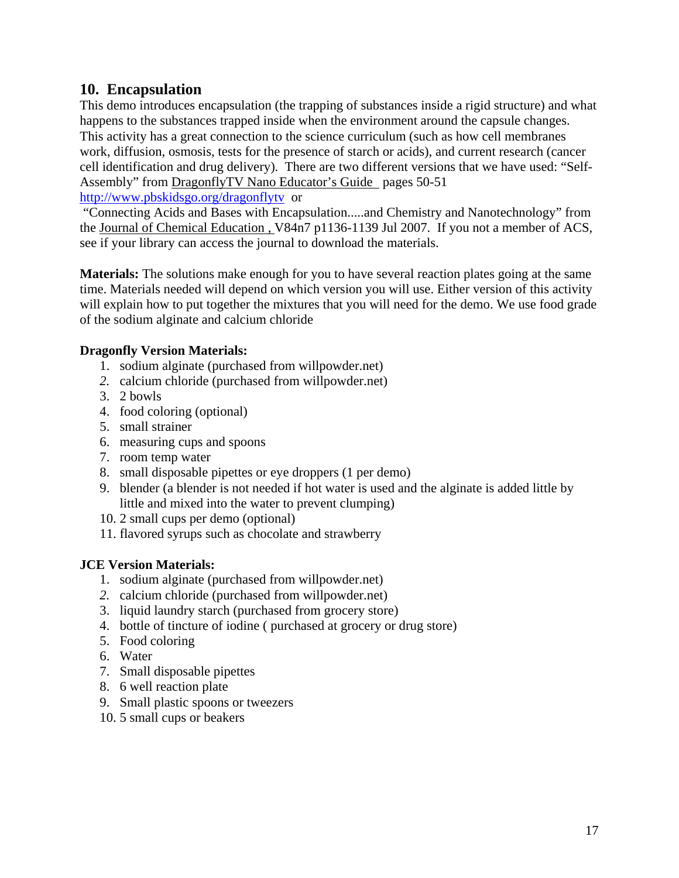## **10. Encapsulation**

This demo introduces encapsulation (the trapping of substances inside a rigid structure) and what happens to the substances trapped inside when the environment around the capsule changes. This activity has a great connection to the science curriculum (such as how cell membranes work, diffusion, osmosis, tests for the presence of starch or acids), and current research (cancer cell identification and drug delivery). There are two different versions that we have used: "Self-Assembly" from DragonflyTV Nano Educator's Guide pages 50-51

<http://www.pbskidsgo.org/dragonflytv>or

 "Connecting Acids and Bases with Encapsulation.....and Chemistry and Nanotechnology" from the Journal of Chemical Education , V84n7 p1136-1139 Jul 2007. If you not a member of ACS, see if your library can access the journal to download the materials.

**Materials:** The solutions make enough for you to have several reaction plates going at the same time. Materials needed will depend on which version you will use. Either version of this activity will explain how to put together the mixtures that you will need for the demo. We use food grade of the sodium alginate and calcium chloride

#### **Dragonfly Version Materials:**

- 1. sodium alginate (purchased from willpowder.net)
- *2.* calcium chloride (purchased from willpowder.net)
- 3. 2 bowls
- 4. food coloring (optional)
- 5. small strainer
- 6. measuring cups and spoons
- 7. room temp water
- 8. small disposable pipettes or eye droppers (1 per demo)
- 9. blender (a blender is not needed if hot water is used and the alginate is added little by little and mixed into the water to prevent clumping)
- 10. 2 small cups per demo (optional)
- 11. flavored syrups such as chocolate and strawberry

#### **JCE Version Materials:**

- 1. sodium alginate (purchased from willpowder.net)
- *2.* calcium chloride (purchased from willpowder.net)
- 3. liquid laundry starch (purchased from grocery store)
- 4. bottle of tincture of iodine ( purchased at grocery or drug store)
- 5. Food coloring
- 6. Water
- 7. Small disposable pipettes
- 8. 6 well reaction plate
- 9. Small plastic spoons or tweezers
- 10. 5 small cups or beakers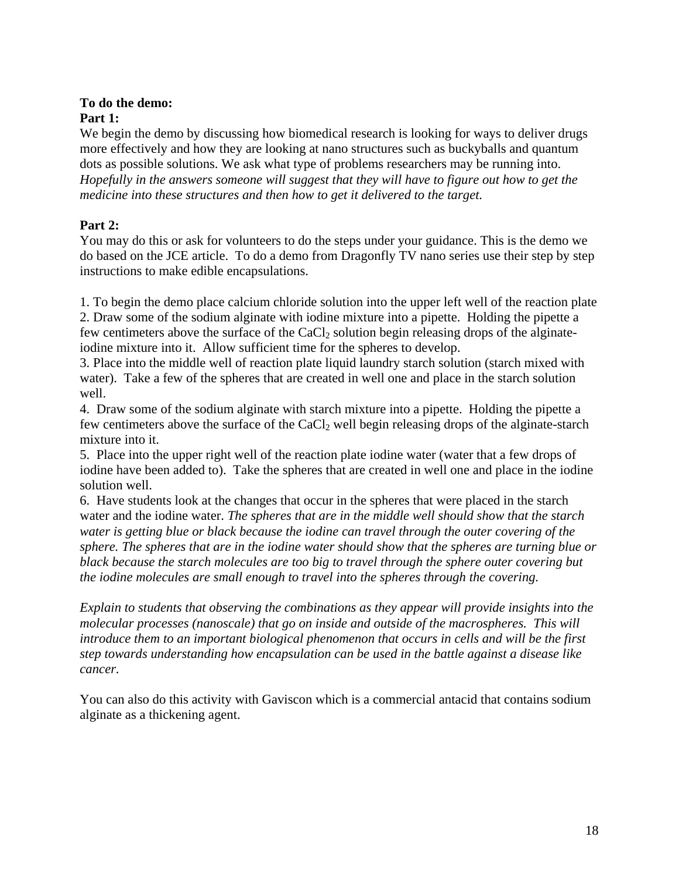#### **To do the demo: Part 1:**

We begin the demo by discussing how biomedical research is looking for ways to deliver drugs more effectively and how they are looking at nano structures such as buckyballs and quantum dots as possible solutions. We ask what type of problems researchers may be running into. *Hopefully in the answers someone will suggest that they will have to figure out how to get the medicine into these structures and then how to get it delivered to the target.* 

#### **Part 2:**

You may do this or ask for volunteers to do the steps under your guidance. This is the demo we do based on the JCE article. To do a demo from Dragonfly TV nano series use their step by step instructions to make edible encapsulations.

1. To begin the demo place calcium chloride solution into the upper left well of the reaction plate 2. Draw some of the sodium alginate with iodine mixture into a pipette. Holding the pipette a few centimeters above the surface of the CaCl<sub>2</sub> solution begin releasing drops of the alginateiodine mixture into it. Allow sufficient time for the spheres to develop.

3. Place into the middle well of reaction plate liquid laundry starch solution (starch mixed with water). Take a few of the spheres that are created in well one and place in the starch solution well.

4. Draw some of the sodium alginate with starch mixture into a pipette. Holding the pipette a few centimeters above the surface of the  $CaCl<sub>2</sub>$  well begin releasing drops of the alginate-starch mixture into it.

5. Place into the upper right well of the reaction plate iodine water (water that a few drops of iodine have been added to). Take the spheres that are created in well one and place in the iodine solution well.

6. Have students look at the changes that occur in the spheres that were placed in the starch water and the iodine water. *The spheres that are in the middle well should show that the starch water is getting blue or black because the iodine can travel through the outer covering of the sphere. The spheres that are in the iodine water should show that the spheres are turning blue or black because the starch molecules are too big to travel through the sphere outer covering but the iodine molecules are small enough to travel into the spheres through the covering.* 

*Explain to students that observing the combinations as they appear will provide insights into the molecular processes (nanoscale) that go on inside and outside of the macrospheres. This will introduce them to an important biological phenomenon that occurs in cells and will be the first step towards understanding how encapsulation can be used in the battle against a disease like cancer.* 

You can also do this activity with Gaviscon which is a commercial antacid that contains sodium alginate as a thickening agent.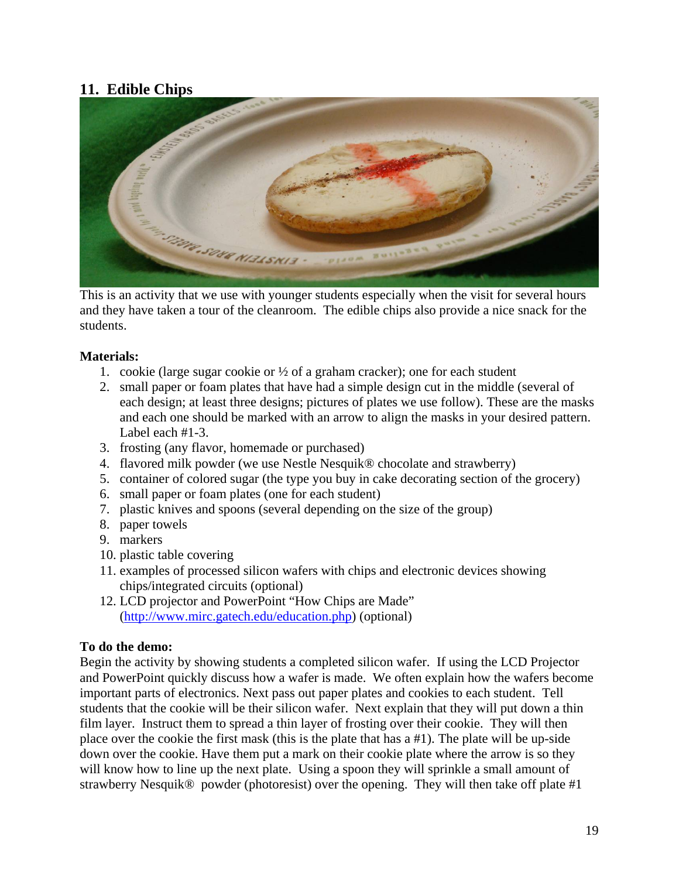## **11. Edible Chips**



This is an activity that we use with younger students especially when the visit for several hours and they have taken a tour of the cleanroom. The edible chips also provide a nice snack for the students.

#### **Materials:**

- 1. cookie (large sugar cookie or  $\frac{1}{2}$  of a graham cracker); one for each student
- 2. small paper or foam plates that have had a simple design cut in the middle (several of each design; at least three designs; pictures of plates we use follow). These are the masks and each one should be marked with an arrow to align the masks in your desired pattern. Label each #1-3.
- 3. frosting (any flavor, homemade or purchased)
- 4. flavored milk powder (we use Nestle Nesquik® chocolate and strawberry)
- 5. container of colored sugar (the type you buy in cake decorating section of the grocery)
- 6. small paper or foam plates (one for each student)
- 7. plastic knives and spoons (several depending on the size of the group)
- 8. paper towels
- 9. markers
- 10. plastic table covering
- 11. examples of processed silicon wafers with chips and electronic devices showing chips/integrated circuits (optional)
- 12. LCD projector and PowerPoint "How Chips are Made" (<http://www.mirc.gatech.edu/education.php>) (optional)

#### **To do the demo:**

Begin the activity by showing students a completed silicon wafer. If using the LCD Projector and PowerPoint quickly discuss how a wafer is made. We often explain how the wafers become important parts of electronics. Next pass out paper plates and cookies to each student. Tell students that the cookie will be their silicon wafer. Next explain that they will put down a thin film layer. Instruct them to spread a thin layer of frosting over their cookie. They will then place over the cookie the first mask (this is the plate that has a #1). The plate will be up-side down over the cookie. Have them put a mark on their cookie plate where the arrow is so they will know how to line up the next plate. Using a spoon they will sprinkle a small amount of strawberry Nesquik® powder (photoresist) over the opening. They will then take off plate #1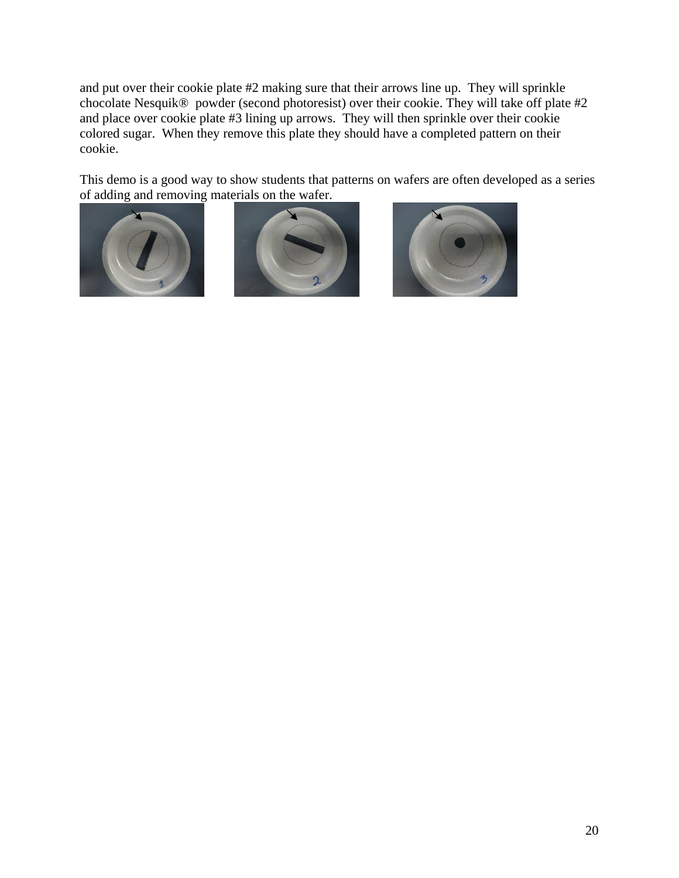and put over their cookie plate #2 making sure that their arrows line up. They will sprinkle chocolate Nesquik® powder (second photoresist) over their cookie. They will take off plate #2 and place over cookie plate #3 lining up arrows. They will then sprinkle over their cookie colored sugar. When they remove this plate they should have a completed pattern on their cookie.

This demo is a good way to show students that patterns on wafers are often developed as a series of adding and removing materials on the wafer.





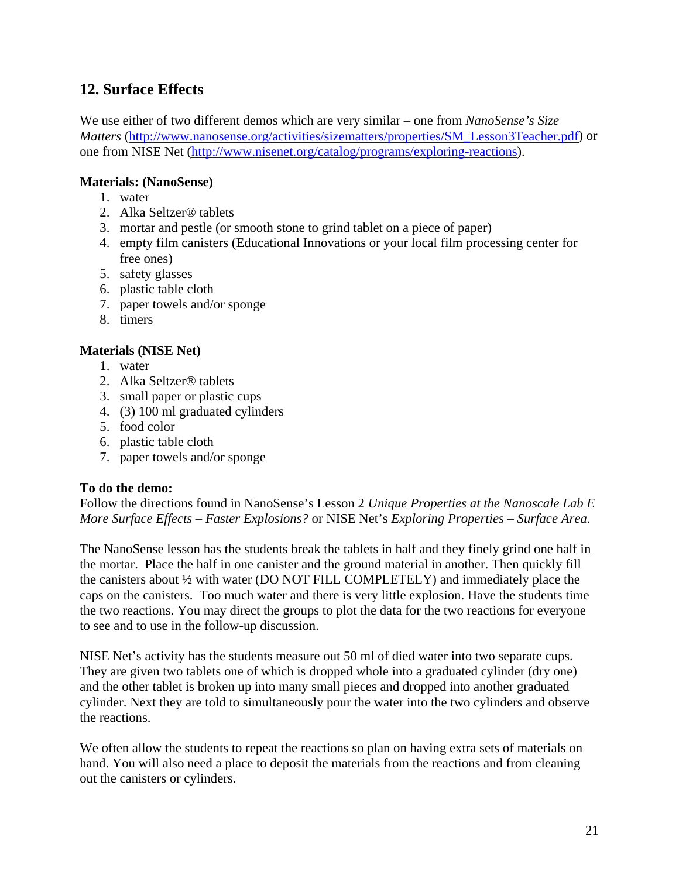## **12. Surface Effects**

We use either of two different demos which are very similar – one from *NanoSense's Size Matters* [\(http://www.nanosense.org/activities/sizematters/properties/SM\\_Lesson3Teacher.pdf\)](http://www.nanosense.org/activities/sizematters/properties/SM_Lesson3Teacher.pdf) or one from NISE Net ([http://www.nisenet.org/catalog/programs/exploring-reactions\)](http://www.nisenet.org/catalog/programs/exploring-reactions).

#### **Materials: (NanoSense)**

- 1. water
- 2. Alka Seltzer® tablets
- 3. mortar and pestle (or smooth stone to grind tablet on a piece of paper)
- 4. empty film canisters (Educational Innovations or your local film processing center for free ones)
- 5. safety glasses
- 6. plastic table cloth
- 7. paper towels and/or sponge
- 8. timers

#### **Materials (NISE Net)**

- 1. water
- 2. Alka Seltzer® tablets
- 3. small paper or plastic cups
- 4. (3) 100 ml graduated cylinders
- 5. food color
- 6. plastic table cloth
- 7. paper towels and/or sponge

#### **To do the demo:**

Follow the directions found in NanoSense's Lesson 2 *Unique Properties at the Nanoscale Lab E More Surface Effects – Faster Explosions?* or NISE Net's *Exploring Properties – Surface Area.* 

The NanoSense lesson has the students break the tablets in half and they finely grind one half in the mortar. Place the half in one canister and the ground material in another. Then quickly fill the canisters about ½ with water (DO NOT FILL COMPLETELY) and immediately place the caps on the canisters. Too much water and there is very little explosion. Have the students time the two reactions. You may direct the groups to plot the data for the two reactions for everyone to see and to use in the follow-up discussion.

NISE Net's activity has the students measure out 50 ml of died water into two separate cups. They are given two tablets one of which is dropped whole into a graduated cylinder (dry one) and the other tablet is broken up into many small pieces and dropped into another graduated cylinder. Next they are told to simultaneously pour the water into the two cylinders and observe the reactions.

We often allow the students to repeat the reactions so plan on having extra sets of materials on hand. You will also need a place to deposit the materials from the reactions and from cleaning out the canisters or cylinders.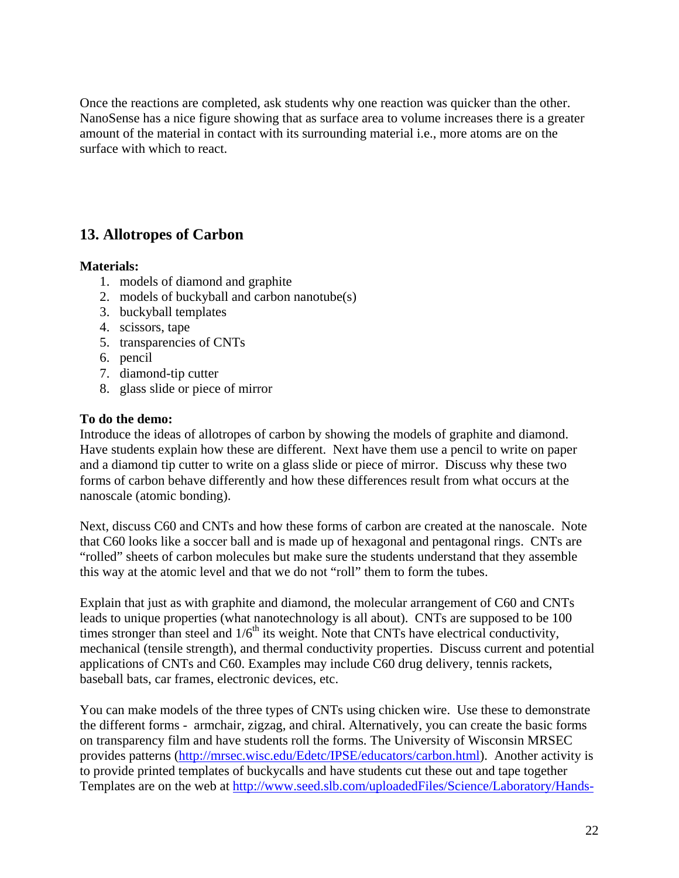Once the reactions are completed, ask students why one reaction was quicker than the other. NanoSense has a nice figure showing that as surface area to volume increases there is a greater amount of the material in contact with its surrounding material i.e., more atoms are on the surface with which to react.

## **13. Allotropes of Carbon**

#### **Materials:**

- 1. models of diamond and graphite
- 2. models of buckyball and carbon nanotube(s)
- 3. buckyball templates
- 4. scissors, tape
- 5. transparencies of CNTs
- 6. pencil
- 7. diamond-tip cutter
- 8. glass slide or piece of mirror

#### **To do the demo:**

Introduce the ideas of allotropes of carbon by showing the models of graphite and diamond. Have students explain how these are different. Next have them use a pencil to write on paper and a diamond tip cutter to write on a glass slide or piece of mirror. Discuss why these two forms of carbon behave differently and how these differences result from what occurs at the nanoscale (atomic bonding).

Next, discuss C60 and CNTs and how these forms of carbon are created at the nanoscale. Note that C60 looks like a soccer ball and is made up of hexagonal and pentagonal rings. CNTs are "rolled" sheets of carbon molecules but make sure the students understand that they assemble this way at the atomic level and that we do not "roll" them to form the tubes.

Explain that just as with graphite and diamond, the molecular arrangement of C60 and CNTs leads to unique properties (what nanotechnology is all about). CNTs are supposed to be 100 times stronger than steel and  $1/6<sup>th</sup>$  its weight. Note that CNTs have electrical conductivity, mechanical (tensile strength), and thermal conductivity properties. Discuss current and potential applications of CNTs and C60. Examples may include C60 drug delivery, tennis rackets, baseball bats, car frames, electronic devices, etc.

You can make models of the three types of CNTs using chicken wire. Use these to demonstrate the different forms - armchair, zigzag, and chiral. Alternatively, you can create the basic forms on transparency film and have students roll the forms. The University of Wisconsin MRSEC provides patterns [\(http://mrsec.wisc.edu/Edetc/IPSE/educators/carbon.html\)](http://mrsec.wisc.edu/Edetc/IPSE/educators/carbon.html). Another activity is to provide printed templates of buckycalls and have students cut these out and tape together Templates are on the web at [http://www.seed.slb.com/uploadedFiles/Science/Laboratory/Hands-](http://www.seed.slb.com/uploadedFiles/Science/Laboratory/Hands-On_Lab/Earth_Science/Build_a_Buckyball/Related_Articles/exp.pdf)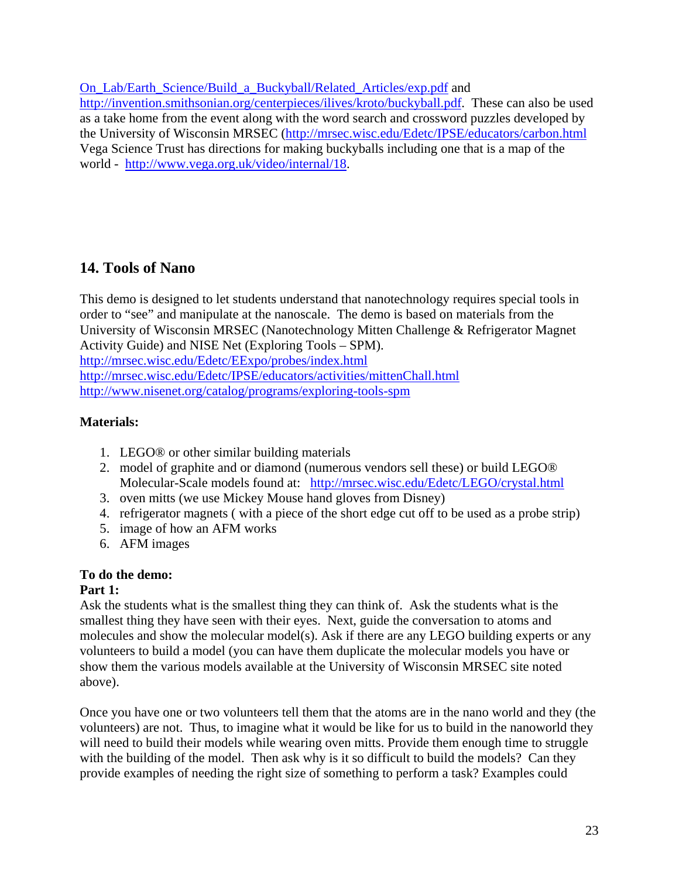[On\\_Lab/Earth\\_Science/Build\\_a\\_Buckyball/Related\\_Articles/exp.pdf](http://www.seed.slb.com/uploadedFiles/Science/Laboratory/Hands-On_Lab/Earth_Science/Build_a_Buckyball/Related_Articles/exp.pdf) and <http://invention.smithsonian.org/centerpieces/ilives/kroto/buckyball.pdf>. These can also be used as a take home from the event along with the word search and crossword puzzles developed by the University of Wisconsin MRSEC (<http://mrsec.wisc.edu/Edetc/IPSE/educators/carbon.html> Vega Science Trust has directions for making buckyballs including one that is a map of the world - [http://www.vega.org.uk/video/internal/18.](http://www.vega.org.uk/video/internal/18)

## **14. Tools of Nano**

This demo is designed to let students understand that nanotechnology requires special tools in order to "see" and manipulate at the nanoscale. The demo is based on materials from the University of Wisconsin MRSEC (Nanotechnology Mitten Challenge & Refrigerator Magnet Activity Guide) and NISE Net (Exploring Tools – SPM). <http://mrsec.wisc.edu/Edetc/EExpo/probes/index.html> <http://mrsec.wisc.edu/Edetc/IPSE/educators/activities/mittenChall.html> <http://www.nisenet.org/catalog/programs/exploring-tools-spm>

### **Materials:**

- 1. LEGO® or other similar building materials
- 2. model of graphite and or diamond (numerous vendors sell these) or build LEGO® Molecular-Scale models found at: <http://mrsec.wisc.edu/Edetc/LEGO/crystal.html>
- 3. oven mitts (we use Mickey Mouse hand gloves from Disney)
- 4. refrigerator magnets ( with a piece of the short edge cut off to be used as a probe strip)
- 5. image of how an AFM works
- 6. AFM images

#### **To do the demo:**

#### **Part 1:**

Ask the students what is the smallest thing they can think of. Ask the students what is the smallest thing they have seen with their eyes. Next, guide the conversation to atoms and molecules and show the molecular model(s). Ask if there are any LEGO building experts or any volunteers to build a model (you can have them duplicate the molecular models you have or show them the various models available at the University of Wisconsin MRSEC site noted above).

Once you have one or two volunteers tell them that the atoms are in the nano world and they (the volunteers) are not. Thus, to imagine what it would be like for us to build in the nanoworld they will need to build their models while wearing oven mitts. Provide them enough time to struggle with the building of the model. Then ask why is it so difficult to build the models? Can they provide examples of needing the right size of something to perform a task? Examples could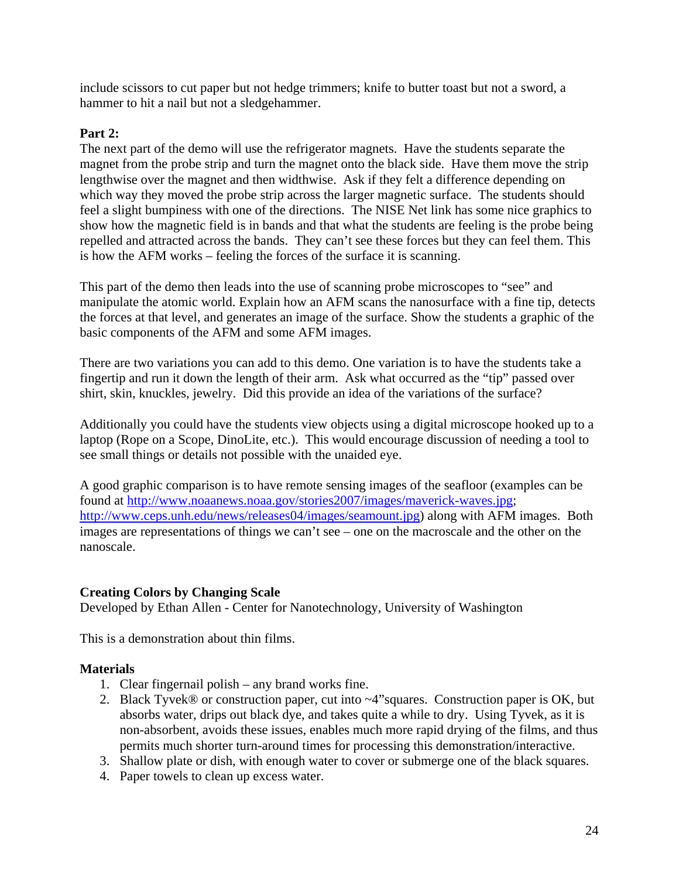include scissors to cut paper but not hedge trimmers; knife to butter toast but not a sword, a hammer to hit a nail but not a sledgehammer.

#### **Part 2:**

The next part of the demo will use the refrigerator magnets. Have the students separate the magnet from the probe strip and turn the magnet onto the black side. Have them move the strip lengthwise over the magnet and then widthwise. Ask if they felt a difference depending on which way they moved the probe strip across the larger magnetic surface. The students should feel a slight bumpiness with one of the directions. The NISE Net link has some nice graphics to show how the magnetic field is in bands and that what the students are feeling is the probe being repelled and attracted across the bands. They can't see these forces but they can feel them. This is how the AFM works – feeling the forces of the surface it is scanning.

This part of the demo then leads into the use of scanning probe microscopes to "see" and manipulate the atomic world. Explain how an AFM scans the nanosurface with a fine tip, detects the forces at that level, and generates an image of the surface. Show the students a graphic of the basic components of the AFM and some AFM images.

There are two variations you can add to this demo. One variation is to have the students take a fingertip and run it down the length of their arm. Ask what occurred as the "tip" passed over shirt, skin, knuckles, jewelry. Did this provide an idea of the variations of the surface?

Additionally you could have the students view objects using a digital microscope hooked up to a laptop (Rope on a Scope, DinoLite, etc.). This would encourage discussion of needing a tool to see small things or details not possible with the unaided eye.

A good graphic comparison is to have remote sensing images of the seafloor (examples can be found at [http://www.noaanews.noaa.gov/stories2007/images/maverick-waves.jpg;](http://www.noaanews.noaa.gov/stories2007/images/maverick-waves.jpg) [http://www.ceps.unh.edu/news/releases04/images/seamount.jpg\)](http://www.ceps.unh.edu/news/releases04/images/seamount.jpg) along with AFM images. Both images are representations of things we can't see – one on the macroscale and the other on the nanoscale.

#### **Creating Colors by Changing Scale**

Developed by Ethan Allen - Center for Nanotechnology, University of Washington

This is a demonstration about thin films.

#### **Materials**

- 1. Clear fingernail polish any brand works fine.
- 2. Black Tyvek® or construction paper, cut into ~4"squares. Construction paper is OK, but absorbs water, drips out black dye, and takes quite a while to dry. Using Tyvek, as it is non-absorbent, avoids these issues, enables much more rapid drying of the films, and thus permits much shorter turn-around times for processing this demonstration/interactive.
- 3. Shallow plate or dish, with enough water to cover or submerge one of the black squares.
- 4. Paper towels to clean up excess water.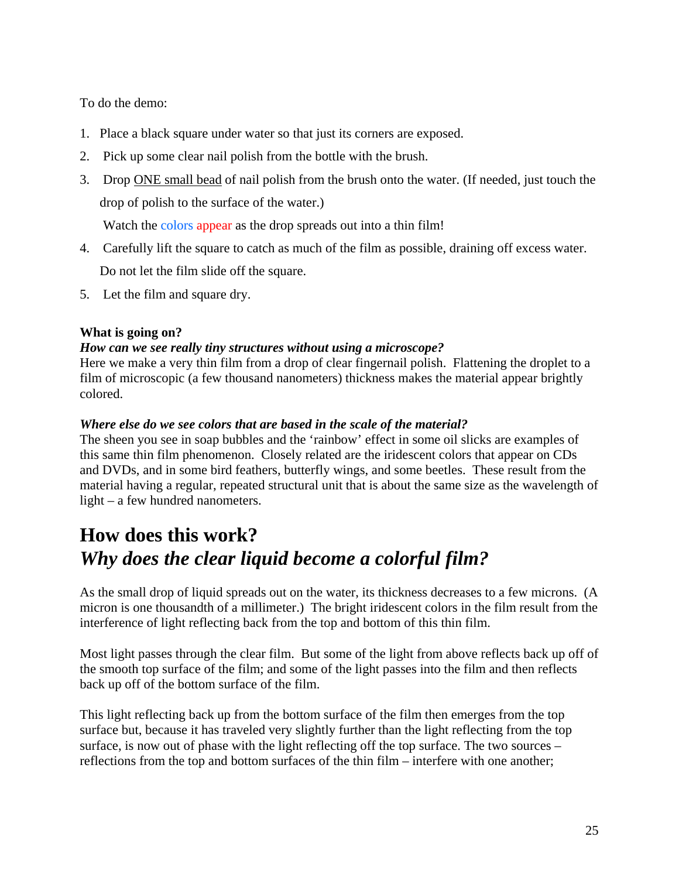To do the demo:

- 1. Place a black square under water so that just its corners are exposed.
- 2. Pick up some clear nail polish from the bottle with the brush.
- 3. Drop ONE small bead of nail polish from the brush onto the water. (If needed, just touch the drop of polish to the surface of the water.)

Watch the colors appear as the drop spreads out into a thin film!

- 4. Carefully lift the square to catch as much of the film as possible, draining off excess water. Do not let the film slide off the square.
- 5. Let the film and square dry.

#### **What is going on?**

#### *How can we see really tiny structures without using a microscope?*

Here we make a very thin film from a drop of clear fingernail polish. Flattening the droplet to a film of microscopic (a few thousand nanometers) thickness makes the material appear brightly colored.

#### *Where else do we see colors that are based in the scale of the material?*

The sheen you see in soap bubbles and the 'rainbow' effect in some oil slicks are examples of this same thin film phenomenon. Closely related are the iridescent colors that appear on CDs and DVDs, and in some bird feathers, butterfly wings, and some beetles. These result from the material having a regular, repeated structural unit that is about the same size as the wavelength of light – a few hundred nanometers.

## **How does this work?**  *Why does the clear liquid become a colorful film?*

As the small drop of liquid spreads out on the water, its thickness decreases to a few microns. (A micron is one thousandth of a millimeter.) The bright iridescent colors in the film result from the interference of light reflecting back from the top and bottom of this thin film.

Most light passes through the clear film. But some of the light from above reflects back up off of the smooth top surface of the film; and some of the light passes into the film and then reflects back up off of the bottom surface of the film.

This light reflecting back up from the bottom surface of the film then emerges from the top surface but, because it has traveled very slightly further than the light reflecting from the top surface, is now out of phase with the light reflecting off the top surface. The two sources – reflections from the top and bottom surfaces of the thin film – interfere with one another;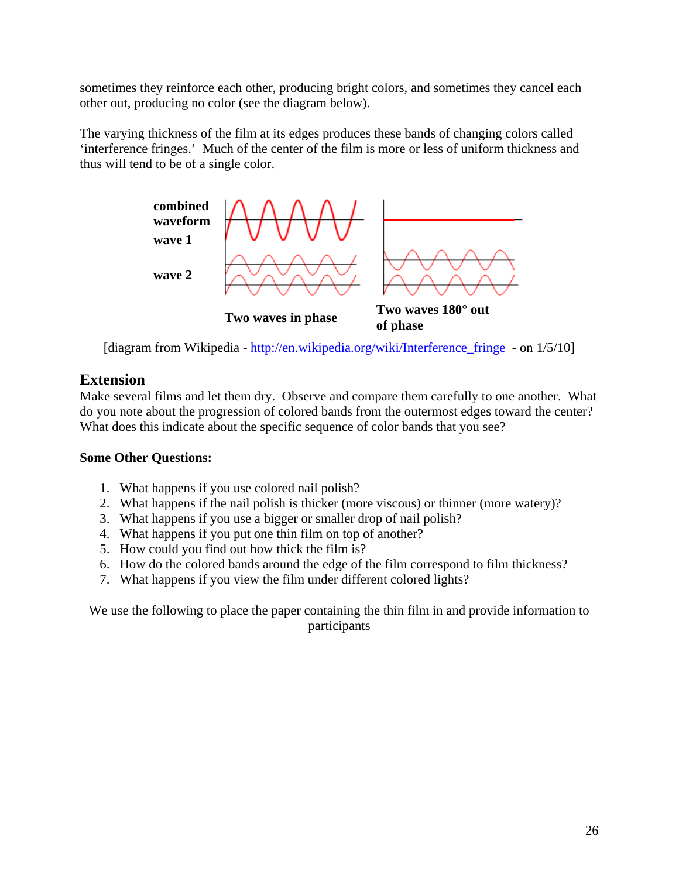sometimes they reinforce each other, producing bright colors, and sometimes they cancel each other out, producing no color (see the diagram below).

The varying thickness of the film at its edges produces these bands of changing colors called 'interference fringes.' Much of the center of the film is more or less of uniform thickness and thus will tend to be of a single color.



[diagram from Wikipedia - [http://en.wikipedia.org/wiki/Interference\\_fringe - on 1/5/10\]](http://en.wikipedia.org/wiki/Interference_fringe%20%20-%20on%201/5/10)

## **Extension**

Make several films and let them dry. Observe and compare them carefully to one another. What do you note about the progression of colored bands from the outermost edges toward the center? What does this indicate about the specific sequence of color bands that you see?

#### **Some Other Questions:**

- 1. What happens if you use colored nail polish?
- 2. What happens if the nail polish is thicker (more viscous) or thinner (more watery)?
- 3. What happens if you use a bigger or smaller drop of nail polish?
- 4. What happens if you put one thin film on top of another?
- 5. How could you find out how thick the film is?
- 6. How do the colored bands around the edge of the film correspond to film thickness?
- 7. What happens if you view the film under different colored lights?

We use the following to place the paper containing the thin film in and provide information to participants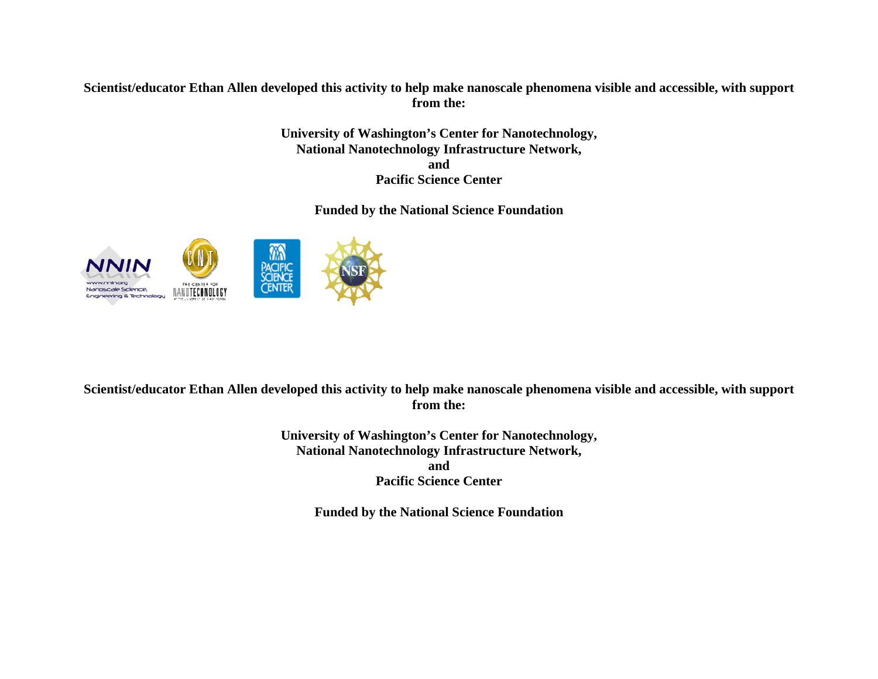#### **Scientist/educator Ethan Allen developed this activity to help make nanoscale phenomena visible and accessible, with support from the:**

**University of Washington's Center for Nanotechnology, National Nanotechnology Infrastructure Network, and Pacific Science Center** 

**Funded by the National Science Foundation** 



#### **Scientist/educator Ethan Allen developed this activity to help make nanoscale phenomena visible and accessible, with support from the:**

**University of Washington's Center for Nanotechnology, National Nanotechnology Infrastructure Network, and Pacific Science Center** 

**Funded by the National Science Foundation**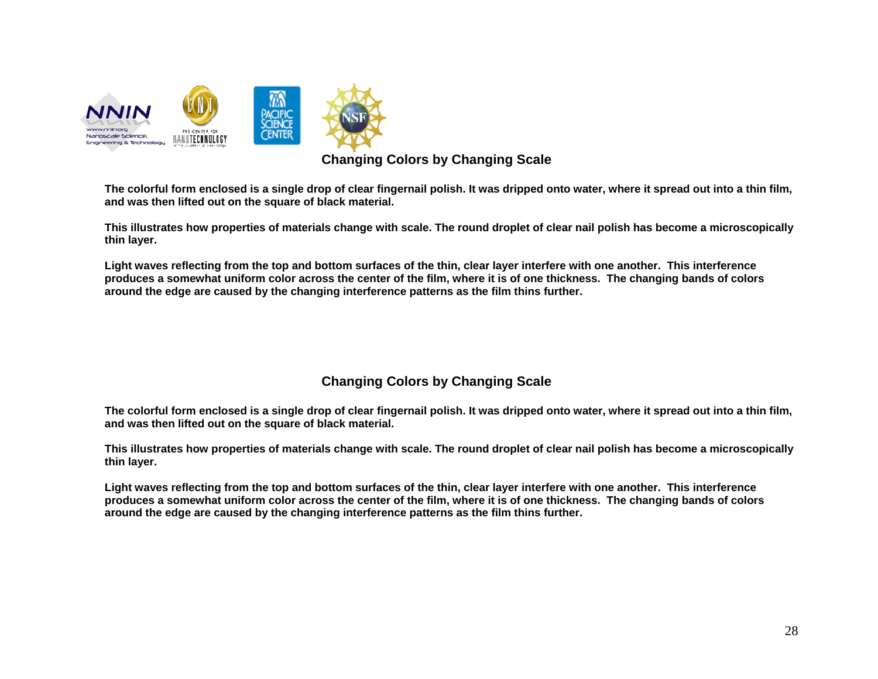

#### **Changing Colors by Changing Scale**

**The colorful form enclosed is a single drop of clear fingernail polish. It was dripped onto water, where it spread out into a thin film, and was then lifted out on the square of black material.** 

**This illustrates how properties of materials change with scale. The round droplet of clear nail polish has become a microscopically thin layer.** 

**Light waves reflecting from the top and bottom surfaces of the thin, clear layer interfere with one another. This interference produces a somewhat uniform color across the center of the film, where it is of one thickness. The changing bands of colors around the edge are caused by the changing interference patterns as the film thins further.** 

### **Changing Colors by Changing Scale**

**The colorful form enclosed is a single drop of clear fingernail polish. It was dripped onto water, where it spread out into a thin film, and was then lifted out on the square of black material.** 

**This illustrates how properties of materials change with scale. The round droplet of clear nail polish has become a microscopically thin layer.** 

**Light waves reflecting from the top and bottom surfaces of the thin, clear layer interfere with one another. This interference produces a somewhat uniform color across the center of the film, where it is of one thickness. The changing bands of colors around the edge are caused by the changing interference patterns as the film thins further.**